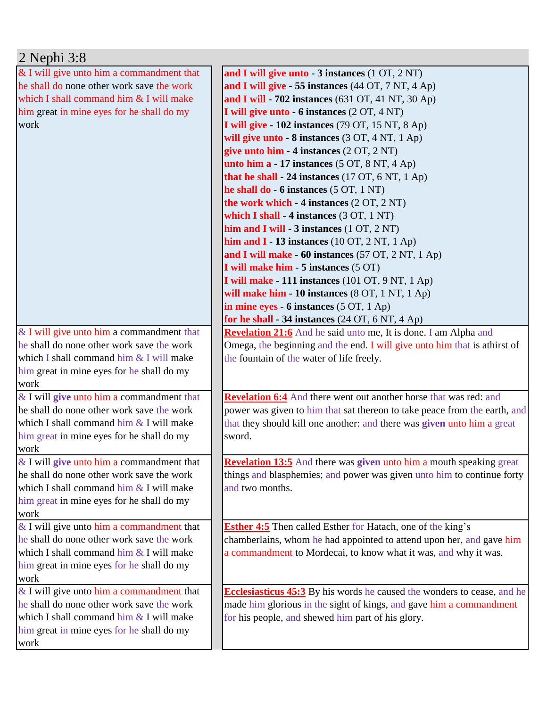| $2$ Nephi $3:8$                             |                                                                                |
|---------------------------------------------|--------------------------------------------------------------------------------|
| & I will give unto him a commandment that   | and I will give unto - 3 instances (1 OT, 2 NT)                                |
| he shall do none other work save the work   | and I will give - 55 instances (44 OT, 7 NT, 4 Ap)                             |
| which I shall command him & I will make     | and I will - 702 instances (631 OT, 41 NT, 30 Ap)                              |
| him great in mine eyes for he shall do my   | I will give unto - 6 instances (2 OT, 4 NT)                                    |
| work                                        | I will give - 102 instances (79 OT, 15 NT, 8 Ap)                               |
|                                             | will give unto $-8$ instances $(3 OT, 4 NT, 1 Ap)$                             |
|                                             | give unto him - 4 instances (2 OT, 2 NT)                                       |
|                                             | unto him $a - 17$ instances $(5 OT, 8 NT, 4 Ap)$                               |
|                                             | that he shall $-24$ instances (17 OT, 6 NT, 1 Ap)                              |
|                                             | he shall do $-6$ instances $(5 OT, 1 NT)$                                      |
|                                             | the work which - 4 instances (2 OT, 2 NT)                                      |
|                                             | which I shall - 4 instances $(3 OT, 1 NT)$                                     |
|                                             | him and I will - $3$ instances $(1 OT, 2 NT)$                                  |
|                                             | him and $I - 13$ instances (10 OT, 2 NT, 1 Ap)                                 |
|                                             | and I will make - 60 instances (57 OT, 2 NT, 1 Ap)                             |
|                                             | I will make him - 5 instances (5 OT)                                           |
|                                             | I will make - 111 instances (101 OT, 9 NT, 1 Ap)                               |
|                                             | will make him - 10 instances (8 OT, 1 NT, 1 Ap)                                |
|                                             | in mine eyes - 6 instances (5 OT, 1 Ap)                                        |
|                                             | for he shall $-34$ instances (24 OT, 6 NT, 4 Ap)                               |
| $&$ I will give unto him a commandment that | Revelation 21:6 And he said unto me, It is done. I am Alpha and                |
| he shall do none other work save the work   | Omega, the beginning and the end. I will give unto him that is athirst of      |
| which I shall command him & I will make     | the fountain of the water of life freely.                                      |
| him great in mine eyes for he shall do my   |                                                                                |
| work                                        |                                                                                |
| $&$ I will give unto him a commandment that | <b>Revelation 6:4</b> And there went out another horse that was red: and       |
| he shall do none other work save the work   | power was given to him that sat thereon to take peace from the earth, and      |
| which I shall command him & I will make     | that they should kill one another: and there was given unto him a great        |
| him great in mine eyes for he shall do my   | sword.                                                                         |
| work                                        |                                                                                |
| $&$ I will give unto him a commandment that | <b>Revelation 13:5</b> And there was given unto him a mouth speaking great     |
| he shall do none other work save the work   | things and blasphemies; and power was given unto him to continue forty         |
| which I shall command him & I will make     | and two months.                                                                |
| him great in mine eyes for he shall do my   |                                                                                |
| work                                        |                                                                                |
| $&$ I will give unto him a commandment that | <b>Esther 4:5</b> Then called Esther for Hatach, one of the king's             |
| he shall do none other work save the work   | chamberlains, whom he had appointed to attend upon her, and gave him           |
| which I shall command him & I will make     | a commandment to Mordecai, to know what it was, and why it was.                |
| him great in mine eyes for he shall do my   |                                                                                |
| work                                        |                                                                                |
| $&$ I will give unto him a commandment that | <b>Ecclesiasticus 45:3</b> By his words he caused the wonders to cease, and he |
| he shall do none other work save the work   | made him glorious in the sight of kings, and gave him a commandment            |
| which I shall command him & I will make     | for his people, and shewed him part of his glory.                              |
| him great in mine eyes for he shall do my   |                                                                                |
| work                                        |                                                                                |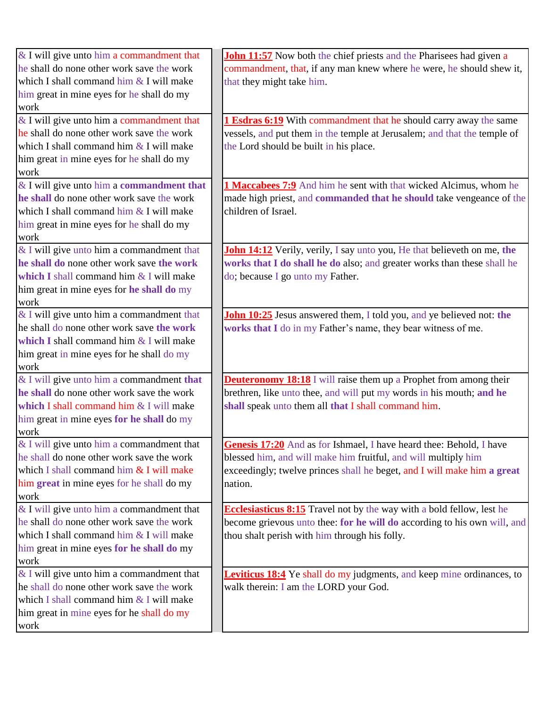| & I will give unto him a commandment that   | <b>John 11:57</b> Now both the chief priests and the Pharisees had given a   |
|---------------------------------------------|------------------------------------------------------------------------------|
| he shall do none other work save the work   | commandment, that, if any man knew where he were, he should shew it,         |
| which I shall command him & I will make     | that they might take him.                                                    |
| him great in mine eyes for he shall do my   |                                                                              |
| work                                        |                                                                              |
| & I will give unto him a commandment that   | <b>1 Esdras 6:19</b> With commandment that he should carry away the same     |
| he shall do none other work save the work   | vessels, and put them in the temple at Jerusalem; and that the temple of     |
| which I shall command him & I will make     | the Lord should be built in his place.                                       |
| him great in mine eyes for he shall do my   |                                                                              |
| work                                        |                                                                              |
| & I will give unto him a commandment that   | <b>1 Maccabees 7:9</b> And him he sent with that wicked Alcimus, whom he     |
| he shall do none other work save the work   | made high priest, and commanded that he should take vengeance of the         |
| which I shall command him & I will make     | children of Israel.                                                          |
| him great in mine eyes for he shall do my   |                                                                              |
| work                                        |                                                                              |
| & I will give unto him a commandment that   | John 14:12 Verily, verily, I say unto you, He that believeth on me, the      |
| he shall do none other work save the work   | works that I do shall he do also; and greater works than these shall he      |
| which I shall command him & I will make     | do; because I go unto my Father.                                             |
| him great in mine eyes for he shall do my   |                                                                              |
| work                                        |                                                                              |
| & I will give unto him a commandment that   | John 10:25 Jesus answered them, I told you, and ye believed not: the         |
| he shall do none other work save the work   | works that I do in my Father's name, they bear witness of me.                |
| which I shall command him $&$ I will make   |                                                                              |
| him great in mine eyes for he shall do my   |                                                                              |
| work                                        |                                                                              |
| & I will give unto him a commandment that   | <b>Deuteronomy 18:18</b> I will raise them up a Prophet from among their     |
| he shall do none other work save the work   | brethren, like unto thee, and will put my words in his mouth; and he         |
| which I shall command him & I will make     | shall speak unto them all that I shall command him.                          |
| him great in mine eyes for he shall do my   |                                                                              |
| work                                        |                                                                              |
| $&$ I will give unto him a commandment that | <b>Genesis 17:20</b> And as for Ishmael, I have heard thee: Behold, I have   |
| he shall do none other work save the work   | blessed him, and will make him fruitful, and will multiply him               |
| which I shall command him & I will make     | exceedingly; twelve princes shall he beget, and I will make him a great      |
| him great in mine eyes for he shall do my   | nation.                                                                      |
| work                                        |                                                                              |
| & I will give unto him a commandment that   | <b>Ecclesiasticus 8:15</b> Travel not by the way with a bold fellow, lest he |
| he shall do none other work save the work   | become grievous unto thee: for he will do according to his own will, and     |
| which I shall command him & I will make     | thou shalt perish with him through his folly.                                |
| him great in mine eyes for he shall do my   |                                                                              |
| work                                        |                                                                              |
| & I will give unto him a commandment that   | Leviticus 18:4 Ye shall do my judgments, and keep mine ordinances, to        |
| he shall do none other work save the work   | walk therein: I am the LORD your God.                                        |
| which I shall command him & I will make     |                                                                              |
| him great in mine eyes for he shall do my   |                                                                              |
| work                                        |                                                                              |